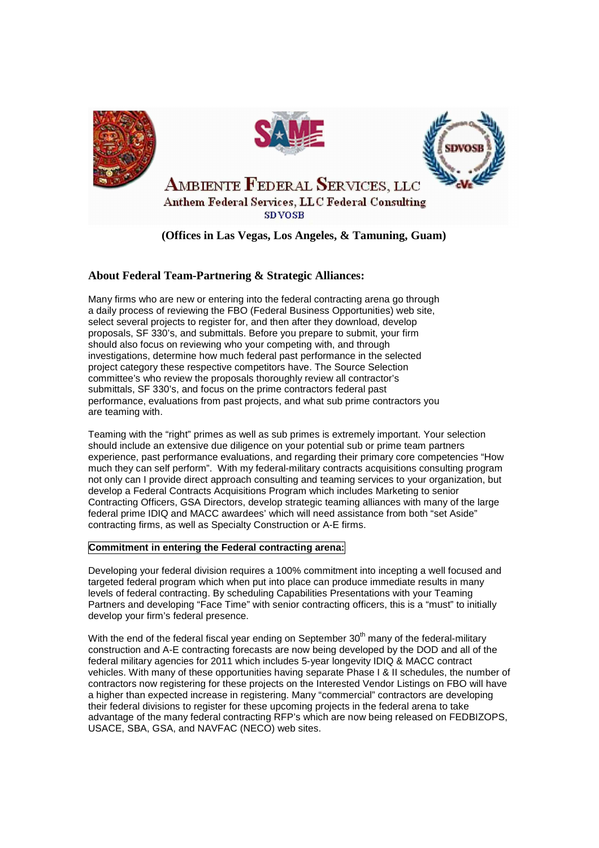





**AMBIENTE FEDERAL SERVICES, LLC** 

Anthem Federal Services, LLC Federal Consulting **SDVOSB** 

## **(Offices in Las Vegas, Los Angeles, & Tamuning, Guam)**

## **About Federal Team-Partnering & Strategic Alliances:**

Many firms who are new or entering into the federal contracting arena go through a daily process of reviewing the FBO (Federal Business Opportunities) web site, select several projects to register for, and then after they download, develop proposals, SF 330's, and submittals. Before you prepare to submit, your firm should also focus on reviewing who your competing with, and through investigations, determine how much federal past performance in the selected project category these respective competitors have. The Source Selection committee's who review the proposals thoroughly review all contractor's submittals, SF 330's, and focus on the prime contractors federal past performance, evaluations from past projects, and what sub prime contractors you are teaming with.

Teaming with the "right" primes as well as sub primes is extremely important. Your selection should include an extensive due diligence on your potential sub or prime team partners experience, past performance evaluations, and regarding their primary core competencies "How much they can self perform". With my federal-military contracts acquisitions consulting program not only can I provide direct approach consulting and teaming services to your organization, but develop a Federal Contracts Acquisitions Program which includes Marketing to senior Contracting Officers, GSA Directors, develop strategic teaming alliances with many of the large federal prime IDIQ and MACC awardees' which will need assistance from both "set Aside" contracting firms, as well as Specialty Construction or A-E firms.

## **Commitment in entering the Federal contracting arena:**

Developing your federal division requires a 100% commitment into incepting a well focused and targeted federal program which when put into place can produce immediate results in many levels of federal contracting. By scheduling Capabilities Presentations with your Teaming Partners and developing "Face Time" with senior contracting officers, this is a "must" to initially develop your firm's federal presence.

With the end of the federal fiscal year ending on September  $30<sup>th</sup>$  many of the federal-military construction and A-E contracting forecasts are now being developed by the DOD and all of the federal military agencies for 2011 which includes 5-year longevity IDIQ & MACC contract vehicles. With many of these opportunities having separate Phase I & II schedules, the number of contractors now registering for these projects on the Interested Vendor Listings on FBO will have a higher than expected increase in registering. Many "commercial" contractors are developing their federal divisions to register for these upcoming projects in the federal arena to take advantage of the many federal contracting RFP's which are now being released on FEDBIZOPS, USACE, SBA, GSA, and NAVFAC (NECO) web sites.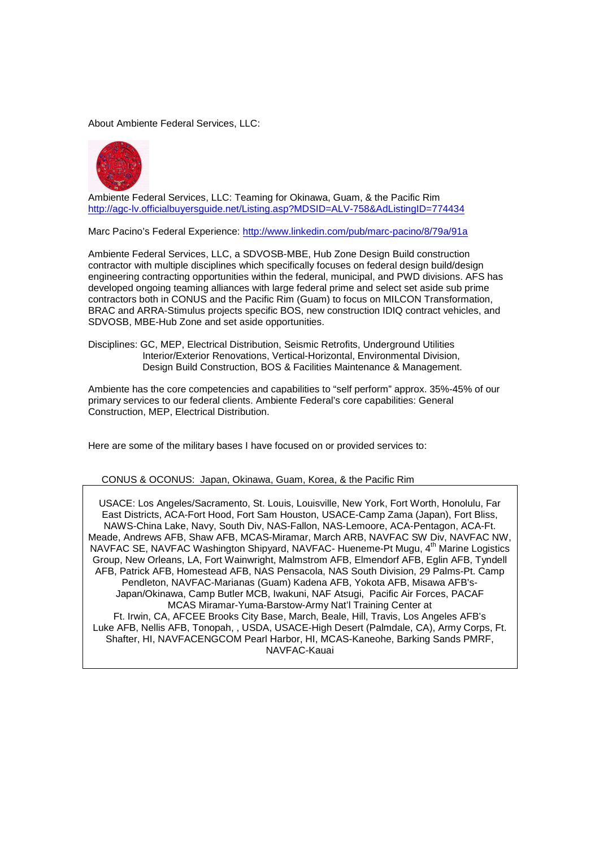About Ambiente Federal Services, LLC:



Ambiente Federal Services, LLC: Teaming for Okinawa, Guam, & the Pacific Rim http://agc-lv.officialbuyersguide.net/Listing.asp?MDSID=ALV-758&AdListingID=774434

Marc Pacino's Federal Experience: http://www.linkedin.com/pub/marc-pacino/8/79a/91a

Ambiente Federal Services, LLC, a SDVOSB-MBE, Hub Zone Design Build construction contractor with multiple disciplines which specifically focuses on federal design build/design engineering contracting opportunities within the federal, municipal, and PWD divisions. AFS has developed ongoing teaming alliances with large federal prime and select set aside sub prime contractors both in CONUS and the Pacific Rim (Guam) to focus on MILCON Transformation, BRAC and ARRA-Stimulus projects specific BOS, new construction IDIQ contract vehicles, and SDVOSB, MBE-Hub Zone and set aside opportunities.

Disciplines: GC, MEP, Electrical Distribution, Seismic Retrofits, Underground Utilities Interior/Exterior Renovations, Vertical-Horizontal, Environmental Division, Design Build Construction, BOS & Facilities Maintenance & Management.

Ambiente has the core competencies and capabilities to "self perform" approx. 35%-45% of our primary services to our federal clients. Ambiente Federal's core capabilities: General Construction, MEP, Electrical Distribution.

Here are some of the military bases I have focused on or provided services to:

CONUS & OCONUS: Japan, Okinawa, Guam, Korea, & the Pacific Rim

USACE: Los Angeles/Sacramento, St. Louis, Louisville, New York, Fort Worth, Honolulu, Far East Districts, ACA-Fort Hood, Fort Sam Houston, USACE-Camp Zama (Japan), Fort Bliss, NAWS-China Lake, Navy, South Div, NAS-Fallon, NAS-Lemoore, ACA-Pentagon, ACA-Ft. Meade, Andrews AFB, Shaw AFB, MCAS-Miramar, March ARB, NAVFAC SW Div, NAVFAC NW, NAVFAC SE, NAVFAC Washington Shipyard, NAVFAC- Hueneme-Pt Mugu, 4th Marine Logistics Group, New Orleans, LA, Fort Wainwright, Malmstrom AFB, Elmendorf AFB, Eglin AFB, Tyndell AFB, Patrick AFB, Homestead AFB, NAS Pensacola, NAS South Division, 29 Palms-Pt. Camp Pendleton, NAVFAC-Marianas (Guam) Kadena AFB, Yokota AFB, Misawa AFB's-Japan/Okinawa, Camp Butler MCB, Iwakuni, NAF Atsugi, Pacific Air Forces, PACAF MCAS Miramar-Yuma-Barstow-Army Nat'l Training Center at Ft. Irwin, CA, AFCEE Brooks City Base, March, Beale, Hill, Travis, Los Angeles AFB's Luke AFB, Nellis AFB, Tonopah, , USDA, USACE-High Desert (Palmdale, CA), Army Corps, Ft. Shafter, HI, NAVFACENGCOM Pearl Harbor, HI, MCAS-Kaneohe, Barking Sands PMRF, NAVFAC-Kauai